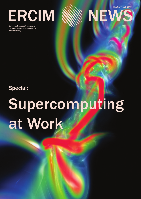ERCIM WEW

European Research Consortium for Informatics and Mathematics www.ercim.org



Number 74, July 2008

## Special:

# Supercomputing at Work